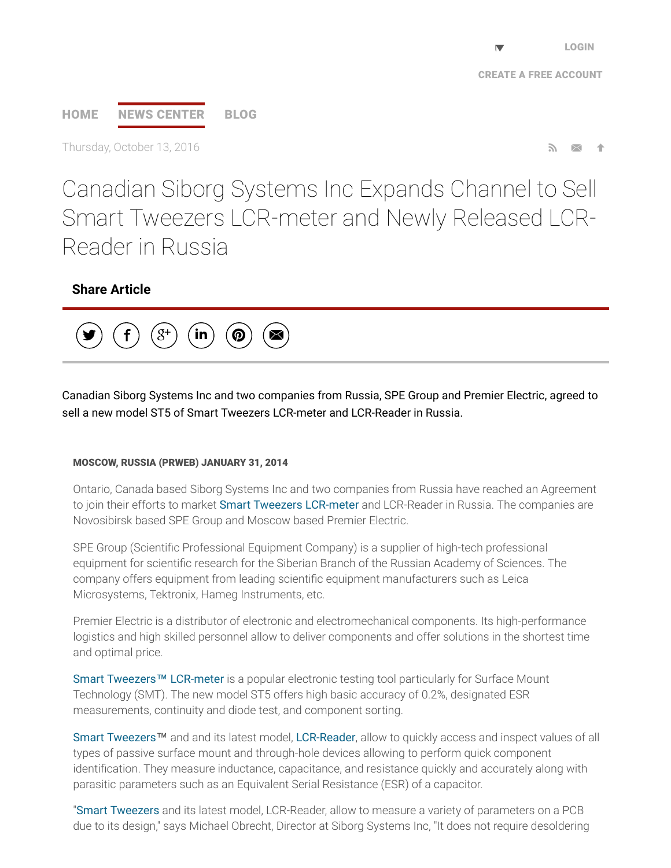# [HOME](http://www.prweb.com/) NEWS [CENTER](http://www.prweb.com/recentnews/) [BLOG](http://www.cision.com/us/blog/)

Thursday, October 13, 2016  $\blacksquare$ 

Canadian Siborg Systems Inc Expands Channel to Sell Smart Tweezers LCR-meter and Newly Released LCR-Reader in Russia

# Share Article



Canadian Siborg Systems Inc and two companies from Russia, SPE Group and Premier Electric, agreed to sell a new model ST5 of Smart Tweezers LCR-meter and LCR-Reader in Russia.

#### MOSCOW, RUSSIA (PRWEB) JANUARY 31, 2014

Ontario, Canada based Siborg Systems Inc and two companies from Russia have reached an Agreement to join their efforts to market Smart Tweezers [LCR-meter](http://www.prweb.net/Redirect.aspx?id=aHR0cDovL3d3dy5sY3ItcmVhZGVyLmNvbQ==) and LCR-Reader in Russia. The companies are Novosibirsk based SPE Group and Moscow based Premier Electric.

SPE Group (Scientific Professional Equipment Company) is a supplier of high-tech professional equipment for scientific research for the Siberian Branch of the Russian Academy of Sciences. The company offers equipment from leading scientific equipment manufacturers such as Leica Microsystems, Tektronix, Hameg Instruments, etc.

Premier Electric is a distributor of electronic and electromechanical components. Its high-performance logistics and high skilled personnel allow to deliver components and offer solutions in the shortest time and optimal price.

Smart Tweezers™ [LCR-meter](http://www.prweb.net/Redirect.aspx?id=aHR0cDovL3d3dy5zbWFydHR3ZWV6ZXJzLnVz) is a popular electronic testing tool particularly for Surface Mount Technology (SMT). The new model ST5 offers high basic accuracy of 0.2%, designated ESR measurements, continuity and diode test, and component sorting.

Smart [Tweezers](http://www.prweb.net/Redirect.aspx?id=aHR0cDovL3d3dy5zbWFydHR3ZWV6ZXJzLmNh)™ and and its latest model, [LCR-Reader,](http://www.prweb.net/Redirect.aspx?id=aHR0cDovL3d3dy5sY3ItcmVhZGVyLmNh) allow to quickly access and inspect values of all types of passive surface mount and through-hole devices allowing to perform quick component identification. They measure inductance, capacitance, and resistance quickly and accurately along with parasitic parameters such as an Equivalent Serial Resistance (ESR) of a capacitor.

"Smart [Tweezers](http://www.prweb.net/Redirect.aspx?id=aHR0cDovL3d3dy5zaWJvcmcuY29tL3NtYXJ0dHdlZXplcnM=) and its latest model, LCR-Reader, allow to measure a variety of parameters on a PCB due to its design," says Michael Obrecht, Director at Siborg Systems Inc, "It does not require desoldering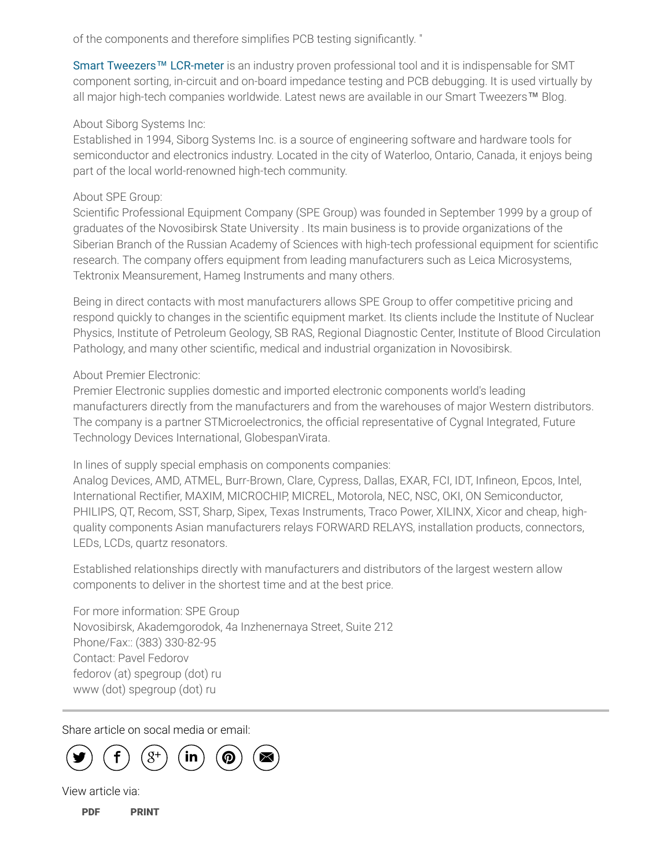of the components and therefore simplifies PCB testing significantly. "

Smart Tweezers™ [LCR-meter](http://www.prweb.net/Redirect.aspx?id=aHR0cDovL3d3dy5sY3ItcmVhZGVyLmNvbQ==) is an industry proven professional tool and it is indispensable for SMT component sorting, in-circuit and on-board impedance testing and PCB debugging. It is used virtually by all major high-tech companies worldwide. Latest news are available in our Smart Tweezers™ Blog.

#### About Siborg Systems Inc:

Established in 1994, Siborg Systems Inc. is a source of engineering software and hardware tools for semiconductor and electronics industry. Located in the city of Waterloo, Ontario, Canada, it enjoys being part of the local world-renowned high-tech community.

## About SPE Group:

Scientific Professional Equipment Company (SPE Group) was founded in September 1999 by a group of graduates of the Novosibirsk State University . Its main business is to provide organizations of the Siberian Branch of the Russian Academy of Sciences with high-tech professional equipment for scientific research. The company offers equipment from leading manufacturers such as Leica Microsystems, Tektronix Meansurement, Hameg Instruments and many others.

Being in direct contacts with most manufacturers allows SPE Group to offer competitive pricing and respond quickly to changes in the scientific equipment market. Its clients include the Institute of Nuclear Physics, Institute of Petroleum Geology, SB RAS, Regional Diagnostic Center, Institute of Blood Circulation Pathology, and many other scientific, medical and industrial organization in Novosibirsk.

### About Premier Electronic:

Premier Electronic supplies domestic and imported electronic components world's leading manufacturers directly from the manufacturers and from the warehouses of major Western distributors. The company is a partner STMicroelectronics, the official representative of Cygnal Integrated, Future Technology Devices International, GlobespanVirata.

In lines of supply special emphasis on components companies:

Analog Devices, AMD, ATMEL, Burr-Brown, Clare, Cypress, Dallas, EXAR, FCI, IDT, Infineon, Epcos, Intel, International Rectifier, MAXIM, MICROCHIP, MICREL, Motorola, NEC, NSC, OKI, ON Semiconductor, PHILIPS, QT, Recom, SST, Sharp, Sipex, Texas Instruments, Traco Power, XILINX, Xicor and cheap, highquality components Asian manufacturers relays FORWARD RELAYS, installation products, connectors, LEDs, LCDs, quartz resonators.

Established relationships directly with manufacturers and distributors of the largest western allow components to deliver in the shortest time and at the best price.

For more information: SPE Group Novosibirsk, Akademgorodok, 4а Inzhenernaya Street, Suite 212 Phone/Fax:: (383) 330-82-95 Contact: Pavel Fedorov fedorov (at) spegroup (dot) ru www (dot) spegroup (dot) ru

Share article on socal media or email:



View article via:

[PDF](http://www.prweb.com/pdfdownload/11538441.pdf) [PRINT](http://www.prweb.com/printer/11538441.htm)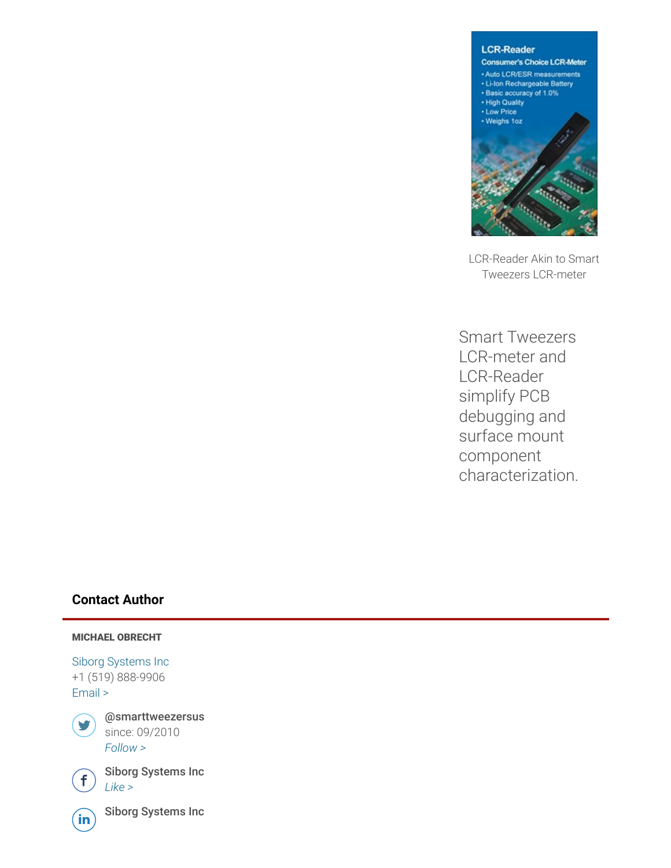

LCR-Reader Akin to Smart Tweezers LCR-meter

Smart Tweezers LCR-meter and LCR-Reader simplify PCB debugging and surface mount component characterization.

#### Contact Author

#### MICHAEL OBRECHT

Siborg [Systems](http://www.prweb.net/Redirect.aspx?id=aHR0cDovL3d3dy5zaWJvcmcuY29t) Inc +1 (519) 888-9906 [Email](http://www.prweb.com/EmailContact.aspx?prid=11538441) >



@smarttweezersus since: 09/2010 [Follow](https://twitter.com/intent/user?screen_name=smarttweezersus&variant=2.0) >



 $\bigoplus$  Siborg Systems Inc



 $\widehat{\mathsf{in}}$  Siborg Systems Inc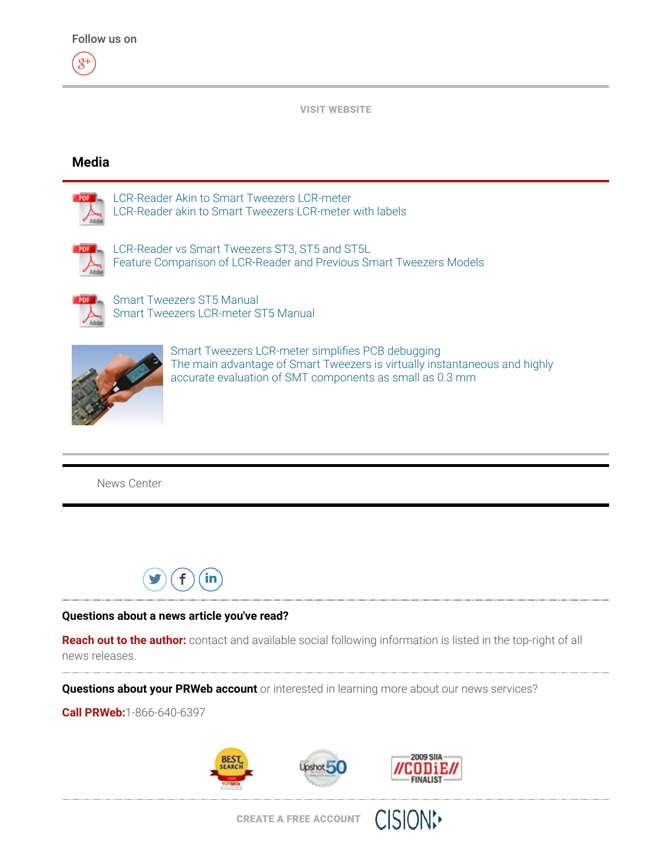$8<sup>+</sup>$ 



#### Media



[LCR-Reader](http://ww1.prweb.com/prfiles/2013/09/30/11538441/LCR-Reader_Flier_web.pdf) Akin to Smart Tweezers LCR-meter LCR-Reader akin to Smart Tweezers LCR-meter with labels



LCR-Reader vs Smart Tweezers ST3, ST5 and ST5L Feature [Comparison](http://ww1.prweb.com/prfiles/2013/03/30/11538441/LCR-Reader-ST-comparison.pdf) of LCR-Reader and Previous Smart Tweezers Models



Smart Tweezers ST5 Manual Smart Tweezers [LCR-meter](http://ww1.prweb.com/prfiles/2012/08/20/11538441/Smart_Tweezers_ST5_Manual.pdf) ST5 Manual



Smart Tweezers LCR-meter simplifies PCB debugging The main advantage of Smart Tweezers is virtually [instantaneous](http://ww1.prweb.com/prfiles/2012/08/14/11538441/Smart%20Tweezers_withhand-lg.jpg) and highly accurate evaluation of SMT components as small as 0.3 mm

News [Center](http://www.prweb.com/recentnews/)



#### Questions about a news article you've read?

Reach out to the author: contact and available social following information is listed in the top-right of all news releases.

Questions about your PRWeb account or interested in learning more about our news services?

Call PRWeb:1-866-640-6397



**CISION:**